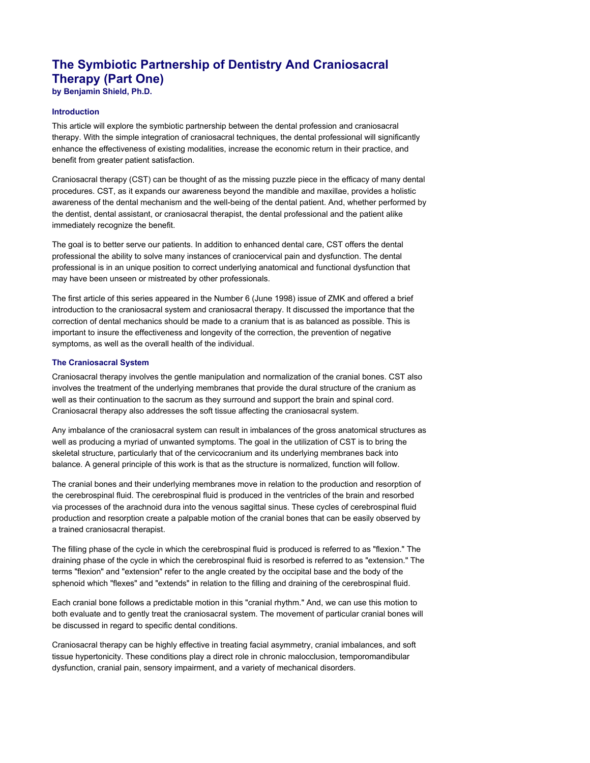# **The Symbiotic Partnership of Dentistry And Craniosacral Therapy (Part One)**

**by Benjamin Shield, Ph.D.**

# **Introduction**

This article will explore the symbiotic partnership between the dental profession and craniosacral therapy. With the simple integration of craniosacral techniques, the dental professional will significantly enhance the effectiveness of existing modalities, increase the economic return in their practice, and benefit from greater patient satisfaction.

Craniosacral therapy (CST) can be thought of as the missing puzzle piece in the efficacy of many dental procedures. CST, as it expands our awareness beyond the mandible and maxillae, provides a holistic awareness of the dental mechanism and the well-being of the dental patient. And, whether performed by the dentist, dental assistant, or craniosacral therapist, the dental professional and the patient alike immediately recognize the benefit.

The goal is to better serve our patients. In addition to enhanced dental care, CST offers the dental professional the ability to solve many instances of craniocervical pain and dysfunction. The dental professional is in an unique position to correct underlying anatomical and functional dysfunction that may have been unseen or mistreated by other professionals.

The first article of this series appeared in the Number 6 (June 1998) issue of ZMK and offered a brief introduction to the craniosacral system and craniosacral therapy. It discussed the importance that the correction of dental mechanics should be made to a cranium that is as balanced as possible. This is important to insure the effectiveness and longevity of the correction, the prevention of negative symptoms, as well as the overall health of the individual.

#### **The Craniosacral System**

Craniosacral therapy involves the gentle manipulation and normalization of the cranial bones. CST also involves the treatment of the underlying membranes that provide the dural structure of the cranium as well as their continuation to the sacrum as they surround and support the brain and spinal cord. Craniosacral therapy also addresses the soft tissue affecting the craniosacral system.

Any imbalance of the craniosacral system can result in imbalances of the gross anatomical structures as well as producing a myriad of unwanted symptoms. The goal in the utilization of CST is to bring the skeletal structure, particularly that of the cervicocranium and its underlying membranes back into balance. A general principle of this work is that as the structure is normalized, function will follow.

The cranial bones and their underlying membranes move in relation to the production and resorption of the cerebrospinal fluid. The cerebrospinal fluid is produced in the ventricles of the brain and resorbed via processes of the arachnoid dura into the venous sagittal sinus. These cycles of cerebrospinal fluid production and resorption create a palpable motion of the cranial bones that can be easily observed by a trained craniosacral therapist.

The filling phase of the cycle in which the cerebrospinal fluid is produced is referred to as "flexion." The draining phase of the cycle in which the cerebrospinal fluid is resorbed is referred to as "extension." The terms "flexion" and "extension" refer to the angle created by the occipital base and the body of the sphenoid which "flexes" and "extends" in relation to the filling and draining of the cerebrospinal fluid.

Each cranial bone follows a predictable motion in this "cranial rhythm." And, we can use this motion to both evaluate and to gently treat the craniosacral system. The movement of particular cranial bones will be discussed in regard to specific dental conditions.

Craniosacral therapy can be highly effective in treating facial asymmetry, cranial imbalances, and soft tissue hypertonicity. These conditions play a direct role in chronic malocclusion, temporomandibular dysfunction, cranial pain, sensory impairment, and a variety of mechanical disorders.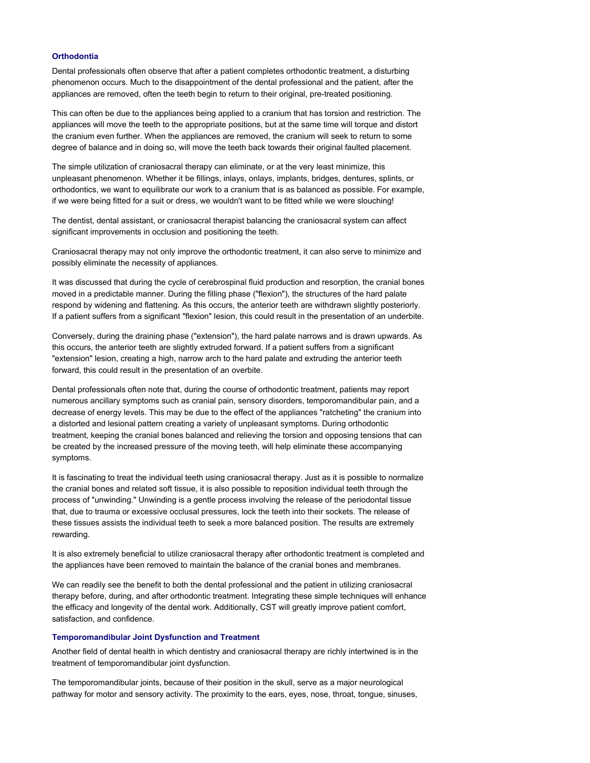#### **Orthodontia**

Dental professionals often observe that after a patient completes orthodontic treatment, a disturbing phenomenon occurs. Much to the disappointment of the dental professional and the patient, after the appliances are removed, often the teeth begin to return to their original, pre-treated positioning.

This can often be due to the appliances being applied to a cranium that has torsion and restriction. The appliances will move the teeth to the appropriate positions, but at the same time will torque and distort the cranium even further. When the appliances are removed, the cranium will seek to return to some degree of balance and in doing so, will move the teeth back towards their original faulted placement.

The simple utilization of craniosacral therapy can eliminate, or at the very least minimize, this unpleasant phenomenon. Whether it be fillings, inlays, onlays, implants, bridges, dentures, splints, or orthodontics, we want to equilibrate our work to a cranium that is as balanced as possible. For example, if we were being fitted for a suit or dress, we wouldn't want to be fitted while we were slouching!

The dentist, dental assistant, or craniosacral therapist balancing the craniosacral system can affect significant improvements in occlusion and positioning the teeth.

Craniosacral therapy may not only improve the orthodontic treatment, it can also serve to minimize and possibly eliminate the necessity of appliances.

It was discussed that during the cycle of cerebrospinal fluid production and resorption, the cranial bones moved in a predictable manner. During the filling phase ("flexion"), the structures of the hard palate respond by widening and flattening. As this occurs, the anterior teeth are withdrawn slightly posteriorly. If a patient suffers from a significant "flexion" lesion, this could result in the presentation of an underbite.

Conversely, during the draining phase ("extension"), the hard palate narrows and is drawn upwards. As this occurs, the anterior teeth are slightly extruded forward. If a patient suffers from a significant "extension" lesion, creating a high, narrow arch to the hard palate and extruding the anterior teeth forward, this could result in the presentation of an overbite.

Dental professionals often note that, during the course of orthodontic treatment, patients may report numerous ancillary symptoms such as cranial pain, sensory disorders, temporomandibular pain, and a decrease of energy levels. This may be due to the effect of the appliances "ratcheting" the cranium into a distorted and lesional pattern creating a variety of unpleasant symptoms. During orthodontic treatment, keeping the cranial bones balanced and relieving the torsion and opposing tensions that can be created by the increased pressure of the moving teeth, will help eliminate these accompanying symptoms.

It is fascinating to treat the individual teeth using craniosacral therapy. Just as it is possible to normalize the cranial bones and related soft tissue, it is also possible to reposition individual teeth through the process of "unwinding." Unwinding is a gentle process involving the release of the periodontal tissue that, due to trauma or excessive occlusal pressures, lock the teeth into their sockets. The release of these tissues assists the individual teeth to seek a more balanced position. The results are extremely rewarding.

It is also extremely beneficial to utilize craniosacral therapy after orthodontic treatment is completed and the appliances have been removed to maintain the balance of the cranial bones and membranes.

We can readily see the benefit to both the dental professional and the patient in utilizing craniosacral therapy before, during, and after orthodontic treatment. Integrating these simple techniques will enhance the efficacy and longevity of the dental work. Additionally, CST will greatly improve patient comfort, satisfaction, and confidence.

#### **Temporomandibular Joint Dysfunction and Treatment**

Another field of dental health in which dentistry and craniosacral therapy are richly intertwined is in the treatment of temporomandibular joint dysfunction.

The temporomandibular joints, because of their position in the skull, serve as a major neurological pathway for motor and sensory activity. The proximity to the ears, eyes, nose, throat, tongue, sinuses,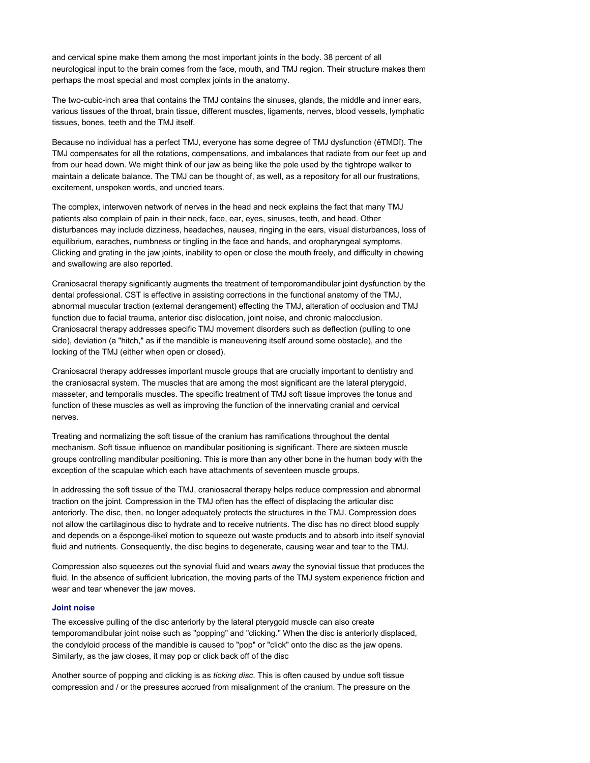and cervical spine make them among the most important joints in the body. 38 percent of all neurological input to the brain comes from the face, mouth, and TMJ region. Their structure makes them perhaps the most special and most complex joints in the anatomy.

The two-cubic-inch area that contains the TMJ contains the sinuses, glands, the middle and inner ears, various tissues of the throat, brain tissue, different muscles, ligaments, nerves, blood vessels, lymphatic tissues, bones, teeth and the TMJ itself.

Because no individual has a perfect TMJ, everyone has some degree of TMJ dysfunction (ěTMDî). The TMJ compensates for all the rotations, compensations, and imbalances that radiate from our feet up and from our head down. We might think of our jaw as being like the pole used by the tightrope walker to maintain a delicate balance. The TMJ can be thought of, as well, as a repository for all our frustrations, excitement, unspoken words, and uncried tears.

The complex, interwoven network of nerves in the head and neck explains the fact that many TMJ patients also complain of pain in their neck, face, ear, eyes, sinuses, teeth, and head. Other disturbances may include dizziness, headaches, nausea, ringing in the ears, visual disturbances, loss of equilibrium, earaches, numbness or tingling in the face and hands, and oropharyngeal symptoms. Clicking and grating in the jaw joints, inability to open or close the mouth freely, and difficulty in chewing and swallowing are also reported.

Craniosacral therapy significantly augments the treatment of temporomandibular joint dysfunction by the dental professional. CST is effective in assisting corrections in the functional anatomy of the TMJ, abnormal muscular traction (external derangement) effecting the TMJ, alteration of occlusion and TMJ function due to facial trauma, anterior disc dislocation, joint noise, and chronic malocclusion. Craniosacral therapy addresses specific TMJ movement disorders such as deflection (pulling to one side), deviation (a "hitch," as if the mandible is maneuvering itself around some obstacle), and the locking of the TMJ (either when open or closed).

Craniosacral therapy addresses important muscle groups that are crucially important to dentistry and the craniosacral system. The muscles that are among the most significant are the lateral pterygoid, masseter, and temporalis muscles. The specific treatment of TMJ soft tissue improves the tonus and function of these muscles as well as improving the function of the innervating cranial and cervical nerves.

Treating and normalizing the soft tissue of the cranium has ramifications throughout the dental mechanism. Soft tissue influence on mandibular positioning is significant. There are sixteen muscle groups controlling mandibular positioning. This is more than any other bone in the human body with the exception of the scapulae which each have attachments of seventeen muscle groups.

In addressing the soft tissue of the TMJ, craniosacral therapy helps reduce compression and abnormal traction on the joint. Compression in the TMJ often has the effect of displacing the articular disc anteriorly. The disc, then, no longer adequately protects the structures in the TMJ. Compression does not allow the cartilaginous disc to hydrate and to receive nutrients. The disc has no direct blood supply and depends on a ěsponge-likeî motion to squeeze out waste products and to absorb into itself synovial fluid and nutrients. Consequently, the disc begins to degenerate, causing wear and tear to the TMJ.

Compression also squeezes out the synovial fluid and wears away the synovial tissue that produces the fluid. In the absence of sufficient lubrication, the moving parts of the TMJ system experience friction and wear and tear whenever the jaw moves.

#### **Joint noise**

The excessive pulling of the disc anteriorly by the lateral pterygoid muscle can also create temporomandibular joint noise such as "popping" and "clicking." When the disc is anteriorly displaced, the condyloid process of the mandible is caused to "pop" or "click" onto the disc as the jaw opens. Similarly, as the jaw closes, it may pop or click back off of the disc

Another source of popping and clicking is as *ticking disc*. This is often caused by undue soft tissue compression and / or the pressures accrued from misalignment of the cranium. The pressure on the